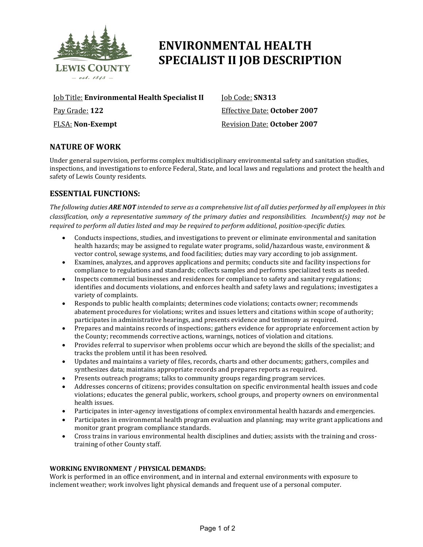

# **ENVIRONMENTAL HEALTH SPECIALIST II JOB DESCRIPTION**

Job Title: **Environmental Health Specialist II** Pay Grade: **122**

FLSA: **Non-Exempt**

Job Code: **SN313** Effective Date: **October 2007** Revision Date: **October 2007**

## **NATURE OF WORK**

Under general supervision, performs complex multidisciplinary environmental safety and sanitation studies, inspections, and investigations to enforce Federal, State, and local laws and regulations and protect the health and safety of Lewis County residents.

### **ESSENTIAL FUNCTIONS:**

*The following duties ARE NOT intended to serve as a comprehensive list of all duties performed by all employees in this classification, only a representative summary of the primary duties and responsibilities. Incumbent(s) may not be required to perform all duties listed and may be required to perform additional, position-specific duties.*

- Conducts inspections, studies, and investigations to prevent or eliminate environmental and sanitation health hazards; may be assigned to regulate water programs, solid/hazardous waste, environment & vector control, sewage systems, and food facilities; duties may vary according to job assignment.
- Examines, analyzes, and approves applications and permits; conducts site and facility inspections for compliance to regulations and standards; collects samples and performs specialized tests as needed.
- Inspects commercial businesses and residences for compliance to safety and sanitary regulations; identifies and documents violations, and enforces health and safety laws and regulations; investigates a variety of complaints.
- Responds to public health complaints; determines code violations; contacts owner; recommends abatement procedures for violations; writes and issues letters and citations within scope of authority; participates in administrative hearings, and presents evidence and testimony as required.
- Prepares and maintains records of inspections; gathers evidence for appropriate enforcement action by the County; recommends corrective actions, warnings, notices of violation and citations.
- Provides referral to supervisor when problems occur which are beyond the skills of the specialist; and tracks the problem until it has been resolved.
- Updates and maintains a variety of files, records, charts and other documents; gathers, compiles and synthesizes data; maintains appropriate records and prepares reports as required.
- Presents outreach programs; talks to community groups regarding program services.<br>• Addresses concerns of citizens; provides consultation on specific environmental healti
- Addresses concerns of citizens; provides consultation on specific environmental health issues and code violations; educates the general public, workers, school groups, and property owners on environmental health issues.
- Participates in inter-agency investigations of complex environmental health hazards and emergencies.
- Participates in environmental health program evaluation and planning; may write grant applications and monitor grant program compliance standards.
- Cross trains in various environmental health disciplines and duties; assists with the training and crosstraining of other County staff.

#### **WORKING ENVIRONMENT / PHYSICAL DEMANDS:**

Work is performed in an office environment, and in internal and external environments with exposure to inclement weather; work involves light physical demands and frequent use of a personal computer.